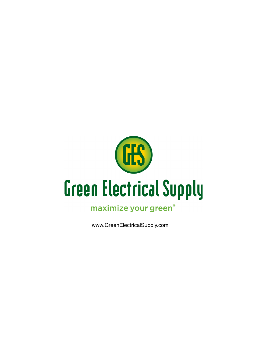

[www.GreenElectricalSupply.com](http://greenelectricalsupply.com)